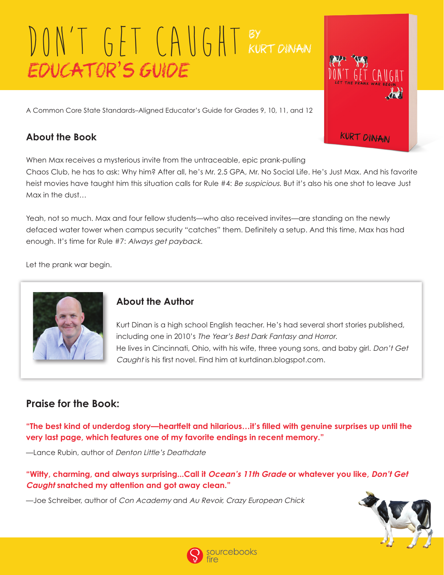A Common Core State Standards–Aligned Educator's Guide for Grades 9, 10, 11, and 12

## **About the Book**

When Max receives a mysterious invite from the untraceable, epic prank-pulling Chaos Club, he has to ask: Why him? After all, he's Mr. 2.5 GPA, Mr. No Social Life. He's Just Max. And his favorite heist movies have taught him this situation calls for Rule #4: Be suspicious. But it's also his one shot to leave Just Max in the dust…

Yeah, not so much. Max and four fellow students—who also received invites—are standing on the newly defaced water tower when campus security "catches" them. Definitely a setup. And this time, Max has had enough. It's time for Rule #7: Always get payback.

Let the prank war begin.



#### **About the Author**

Kurt Dinan is a high school English teacher. He's had several short stories published, including one in 2010's The Year's Best Dark Fantasy and Horror. He lives in Cincinnati, Ohio, with his wife, three young sons, and baby girl. Don't Get Caught is his first novel. Find him at kurtdinan.blogspot.com.

## **Praise for the Book:**

**"The best kind of underdog story—heartfelt and hilarious…it's filled with genuine surprises up until the very last page, which features one of my favorite endings in recent memory."** 

—Lance Rubin, author of Denton Little's Deathdate

**"Witty, charming, and always surprising...Call it Ocean's 11th Grade or whatever you like, Don't Get Caught snatched my attention and got away clean."** 

—Joe Schreiber, author of Con Academy and Au Revoir, Crazy European Chick



T GET CAUGHT

**KURT DINAN** 

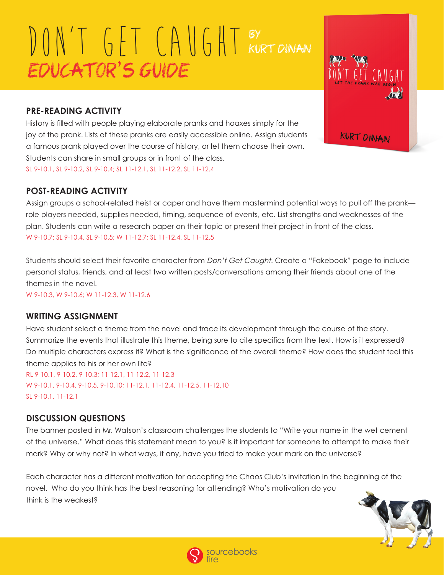# ESTA TELEVISION **KURT DINAN**

#### **PRE-READING ACTIVITY**

History is filled with people playing elaborate pranks and hoaxes simply for the joy of the prank. Lists of these pranks are easily accessible online. Assign students a famous prank played over the course of history, or let them choose their own. Students can share in small groups or in front of the class. SL 9-10.1, SL 9-10.2, SL 9-10.4; SL 11-12.1, SL 11-12.2, SL 11-12.4

#### **POST-READING ACTIVITY**

Assign groups a school-related heist or caper and have them mastermind potential ways to pull off the prank role players needed, supplies needed, timing, sequence of events, etc. List strengths and weaknesses of the plan. Students can write a research paper on their topic or present their project in front of the class. W 9-10.7; SL 9-10.4, SL 9-10.5; W 11-12.7; SL 11-12.4, SL 11-12.5

Students should select their favorite character from Don't Get Caught. Create a "Fakebook" page to include personal status, friends, and at least two written posts/conversations among their friends about one of the themes in the novel.

W 9-10.3, W 9-10.6; W 11-12.3, W 11-12.6

#### **WRITING ASSIGNMENT**

Have student select a theme from the novel and trace its development through the course of the story. Summarize the events that illustrate this theme, being sure to cite specifics from the text. How is it expressed? Do multiple characters express it? What is the significance of the overall theme? How does the student feel this theme applies to his or her own life?

RL 9-10.1, 9-10.2, 9-10.3; 11-12.1, 11-12.2, 11-12.3 W 9-10.1, 9-10.4, 9-10.5, 9-10.10; 11-12.1, 11-12.4, 11-12.5, 11-12.10 SL 9-10.1, 11-12.1

#### **DISCUSSION QUESTIONS**

The banner posted in Mr. Watson's classroom challenges the students to "Write your name in the wet cement of the universe." What does this statement mean to you? Is it important for someone to attempt to make their mark? Why or why not? In what ways, if any, have you tried to make your mark on the universe?

Each character has a different motivation for accepting the Chaos Club's invitation in the beginning of the novel. Who do you think has the best reasoning for attending? Who's motivation do you think is the weakest?



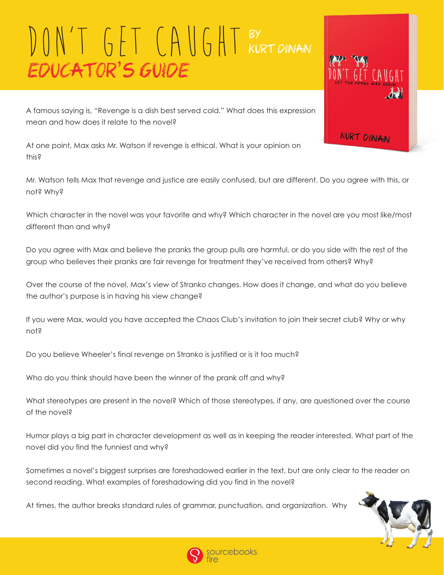

A famous saying is, "Revenge is a dish best served cold." What does this expression mean and how does it relate to the novel?

At one point, Max asks Mr. Watson if revenge is ethical. What is your opinion on this?

Mr. Watson tells Max that revenge and justice are easily confused, but are different. Do you agree with this, or not? Why?

Which character in the novel was your favorite and why? Which character in the novel are you most like/most different than and why?

Do you agree with Max and believe the pranks the group pulls are harmful, or do you side with the rest of the group who believes their pranks are fair revenge for treatment they've received from others? Why?

Over the course of the novel, Max's view of Stranko changes. How does it change, and what do you believe the author's purpose is in having his view change?

If you were Max, would you have accepted the Chaos Club's invitation to join their secret club? Why or why not?

Do you believe Wheeler's final revenge on Stranko is justified or is it too much?

Who do you think should have been the winner of the prank off and why?

What stereotypes are present in the novel? Which of those stereotypes, if any, are questioned over the course of the novel?

Humor plays a big part in character development as well as in keeping the reader interested. What part of the novel did you find the funniest and why?

Sometimes a novel's biggest surprises are foreshadowed earlier in the text, but are only clear to the reader on second reading. What examples of foreshadowing did you find in the novel?

At times, the author breaks standard rules of grammar, punctuation, and organization. Why